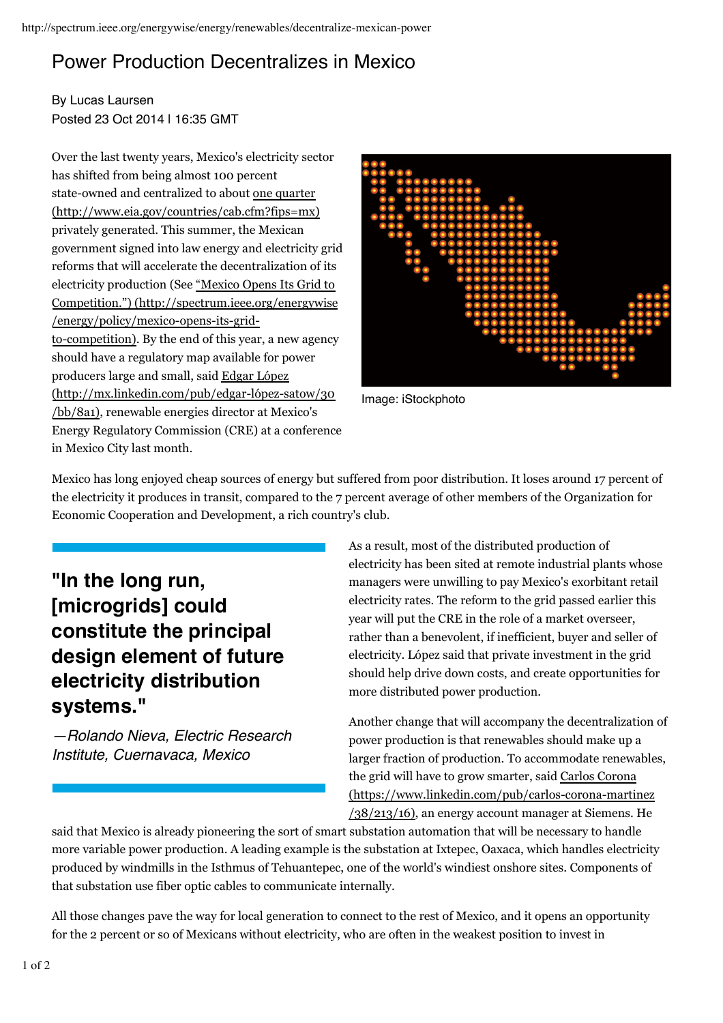## Power Production Decentralizes in Mexico

By Lucas Laursen Posted 23 Oct 2014 | 16:35 GMT

Over the last twenty years, Mexico's electricity sector has shifted from being almost 100 percent state-owned and centralized to about <u>one quarter</u> privately generated. This summer, the Mexican government signed into law energy and electricity grid reforms that will accelerate the decentralization of its electricity production (See "Mexico Opens Its Grid to to-competition). By the end of this year, a new agency should have a regulatory map available for power producers large and small, said Edgar López (bb/8a1), renewable energies director at Mexico's Energy Regulatory Commission (CRE) at a conference in Mexico City last month. (http://www.eia.gov/countries/cab.cfm?fips=mx) Competition.") (http://spectrum.ieee.org/energywise /energy/policy/mexico-opens-its-grid-(http://mx.linkedin.com/pub/edgar-lópez-satow/30



Image: iStockphoto

Mexico has long enjoyed cheap sources of energy but suffered from poor distribution. It loses around 17 percent of the electricity it produces in transit, compared to the 7 percent average of other members of the Organization for Economic Cooperation and Development, a rich country's club.

**"In the long run, [microgrids] could constitute the principal design element of future electricity distribution systems."**

*—Rolando Nieva, Electric Research Institute, Cuernavaca, Mexico*

As a result, most of the distributed production of electricity has been sited at remote industrial plants whose managers were unwilling to pay Mexico's exorbitant retail electricity rates. The reform to the grid passed earlier this year will put the CRE in the role of a market overseer, rather than a benevolent, if inefficient, buyer and seller of electricity. López said that private investment in the grid should help drive down costs, and create opportunities for more distributed power production.

Another change that will accompany the decentralization of power production is that renewables should make up a larger fraction of production. To accommodate renewables, the grid will have to grow smarter, said Carlos Corona  $/38/213/16$ , an energy account manager at Siemens. He (https://www.linkedin.com/pub/carlos-corona-martinez

said that Mexico is already pioneering the sort of smart substation automation that will be necessary to handle more variable power production. A leading example is the substation at Ixtepec, Oaxaca, which handles electricity produced by windmills in the Isthmus of Tehuantepec, one of the world's windiest onshore sites. Components of that substation use fiber optic cables to communicate internally.

All those changes pave the way for local generation to connect to the rest of Mexico, and it opens an opportunity for the 2 percent or so of Mexicans without electricity, who are often in the weakest position to invest in